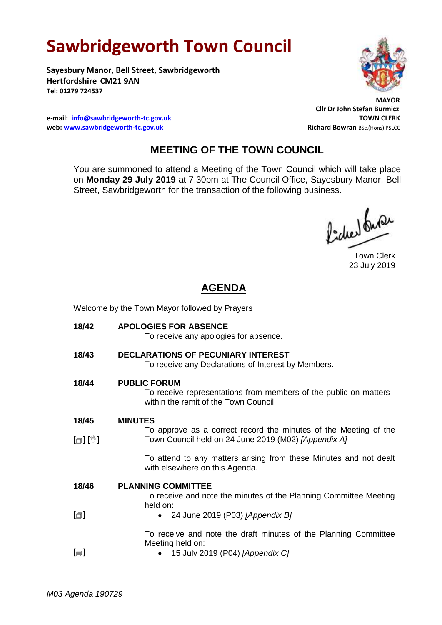# **Sawbridgeworth Town Council**

**Sayesbury Manor, Bell Street, Sawbridgeworth Hertfordshire CM21 9AN Tel: 01279 724537**



 **MAYOR Cllr Dr John Stefan Burmicz**

**e-mail: [info@sawbridgeworth-tc.gov.uk](mailto:info@sawbridgeworth-tc.gov.uk) TOWN CLERK web: www.sawbridgeworth-tc.gov.uk Richard Bowran BSc.(Hons) PSLCC Richard Bowran BSc.(Hons) PSLCC** 

## **MEETING OF THE TOWN COUNCIL**

You are summoned to attend a Meeting of the Town Council which will take place on **Monday 29 July 2019** at 7.30pm at The Council Office, Sayesbury Manor, Bell Street, Sawbridgeworth for the transaction of the following business.

fided fune

Town Clerk 23 July 2019

## **AGENDA**

Welcome by the Town Mayor followed by Prayers

| <b>APOLOGIES FOR ABSENCE</b><br>To receive any apologies for absence.                                                            |  |  |
|----------------------------------------------------------------------------------------------------------------------------------|--|--|
| <b>DECLARATIONS OF PECUNIARY INTEREST</b><br>To receive any Declarations of Interest by Members.                                 |  |  |
| <b>PUBLIC FORUM</b><br>To receive representations from members of the public on matters<br>within the remit of the Town Council. |  |  |
| <b>MINUTES</b>                                                                                                                   |  |  |
| To approve as a correct record the minutes of the Meeting of the<br>Town Council held on 24 June 2019 (M02) [Appendix A]         |  |  |
| To attend to any matters arising from these Minutes and not dealt<br>with elsewhere on this Agenda.                              |  |  |
| <b>PLANNING COMMITTEE</b>                                                                                                        |  |  |
| To receive and note the minutes of the Planning Committee Meeting<br>held on:                                                    |  |  |
| • 24 June 2019 (P03) [Appendix B]                                                                                                |  |  |
| To receive and note the draft minutes of the Planning Committee                                                                  |  |  |
| Meeting held on:<br>$\bullet$ 15 July 2019 (P04) [Appendix C]                                                                    |  |  |
|                                                                                                                                  |  |  |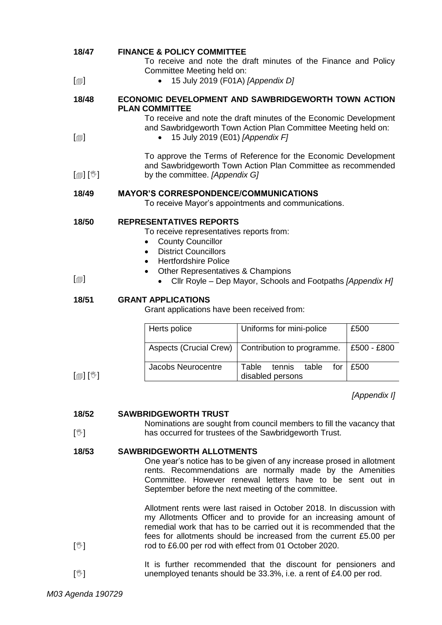| 18/47<br>$[\blacksquare]$               | <b>FINANCE &amp; POLICY COMMITTEE</b><br>$\bullet$                                                                                                                                                                                                     | To receive and note the draft minutes of the Finance and Policy<br>Committee Meeting held on:<br>15 July 2019 (F01A) [Appendix D]                                      |              |  |
|-----------------------------------------|--------------------------------------------------------------------------------------------------------------------------------------------------------------------------------------------------------------------------------------------------------|------------------------------------------------------------------------------------------------------------------------------------------------------------------------|--------------|--|
|                                         |                                                                                                                                                                                                                                                        |                                                                                                                                                                        |              |  |
| 18/48                                   | <b>PLAN COMMITTEE</b>                                                                                                                                                                                                                                  | <b>ECONOMIC DEVELOPMENT AND SAWBRIDGEWORTH TOWN ACTION</b>                                                                                                             |              |  |
|                                         |                                                                                                                                                                                                                                                        | To receive and note the draft minutes of the Economic Development<br>and Sawbridgeworth Town Action Plan Committee Meeting held on:<br>15 July 2019 (E01) [Appendix F] |              |  |
| $\lceil \blacksquare \rceil$            |                                                                                                                                                                                                                                                        |                                                                                                                                                                        |              |  |
| $\mathbb{D}[\mathbb{D}^1]$              |                                                                                                                                                                                                                                                        | To approve the Terms of Reference for the Economic Development<br>and Sawbridgeworth Town Action Plan Committee as recommended<br>by the committee. [Appendix G]       |              |  |
|                                         |                                                                                                                                                                                                                                                        |                                                                                                                                                                        |              |  |
| 18/49                                   |                                                                                                                                                                                                                                                        | <b>MAYOR'S CORRESPONDENCE/COMMUNICATIONS</b><br>To receive Mayor's appointments and communications.                                                                    |              |  |
| 18/50                                   | <b>REPRESENTATIVES REPORTS</b>                                                                                                                                                                                                                         |                                                                                                                                                                        |              |  |
|                                         | To receive representatives reports from:<br><b>County Councillor</b>                                                                                                                                                                                   |                                                                                                                                                                        |              |  |
|                                         | <b>District Councillors</b><br>$\bullet$                                                                                                                                                                                                               |                                                                                                                                                                        |              |  |
|                                         | <b>Hertfordshire Police</b><br>$\bullet$                                                                                                                                                                                                               |                                                                                                                                                                        |              |  |
| $\lceil \blacksquare \rceil$            |                                                                                                                                                                                                                                                        | Other Representatives & Champions<br>$\bullet$<br>Cllr Royle – Dep Mayor, Schools and Footpaths [Appendix H]                                                           |              |  |
| 18/51                                   | <b>GRANT APPLICATIONS</b>                                                                                                                                                                                                                              | Grant applications have been received from:                                                                                                                            |              |  |
|                                         |                                                                                                                                                                                                                                                        |                                                                                                                                                                        |              |  |
|                                         | Herts police                                                                                                                                                                                                                                           | Uniforms for mini-police                                                                                                                                               | £500         |  |
|                                         | <b>Aspects (Crucial Crew)</b>                                                                                                                                                                                                                          | Contribution to programme.                                                                                                                                             | £500 - £800  |  |
| $\llbracket \circledast \rrbracket$ [V] | <b>Jacobs Neurocentre</b>                                                                                                                                                                                                                              | Table<br>tennis<br>table<br>for<br>disabled persons                                                                                                                    | £500         |  |
|                                         |                                                                                                                                                                                                                                                        |                                                                                                                                                                        | [Appendix I] |  |
| 18/52                                   | <b>SAWBRIDGEWORTH TRUST</b>                                                                                                                                                                                                                            |                                                                                                                                                                        |              |  |
| $[\mathbb{V}]$                          |                                                                                                                                                                                                                                                        | Nominations are sought from council members to fill the vacancy that<br>has occurred for trustees of the Sawbridgeworth Trust.                                         |              |  |
| 18/53                                   | <b>SAWBRIDGEWORTH ALLOTMENTS</b>                                                                                                                                                                                                                       |                                                                                                                                                                        |              |  |
|                                         | One year's notice has to be given of any increase prosed in allotment<br>rents. Recommendations are normally made by the Amenities<br>Committee. However renewal letters have to be sent out in<br>September before the next meeting of the committee. |                                                                                                                                                                        |              |  |
|                                         | Allotment rents were last raised in October 2018. In discussion with                                                                                                                                                                                   |                                                                                                                                                                        |              |  |
|                                         | my Allotments Officer and to provide for an increasing amount of<br>remedial work that has to be carried out it is recommended that the                                                                                                                |                                                                                                                                                                        |              |  |
| $[\mathbb{V}]$                          |                                                                                                                                                                                                                                                        | fees for allotments should be increased from the current £5.00 per<br>rod to £6.00 per rod with effect from 01 October 2020.                                           |              |  |
| $[\mathbb{V}]$                          | It is further recommended that the discount for pensioners and<br>unemployed tenants should be 33.3%, i.e. a rent of £4.00 per rod.                                                                                                                    |                                                                                                                                                                        |              |  |